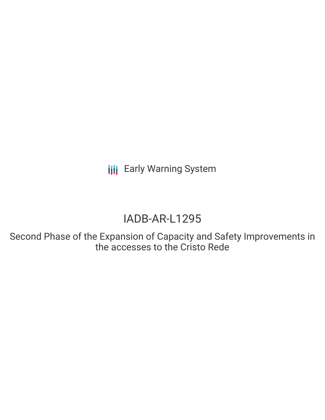**III** Early Warning System

# IADB-AR-L1295

Second Phase of the Expansion of Capacity and Safety Improvements in the accesses to the Cristo Rede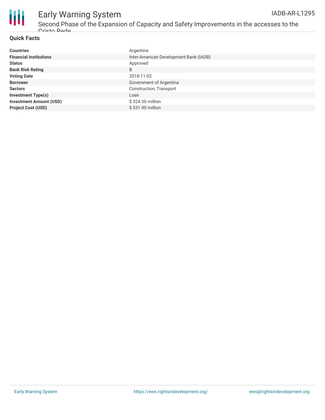



## Early Warning System

Second Phase of the Expansion of Capacity and Safety Improvements in the accesses to the Cristo Rede

#### **Quick Facts**

| <b>Countries</b>               | Argentina                              |
|--------------------------------|----------------------------------------|
| <b>Financial Institutions</b>  | Inter-American Development Bank (IADB) |
| <b>Status</b>                  | Approved                               |
| <b>Bank Risk Rating</b>        | B                                      |
| <b>Voting Date</b>             | 2018-11-02                             |
| <b>Borrower</b>                | Government of Argentina                |
| <b>Sectors</b>                 | Construction, Transport                |
| <b>Investment Type(s)</b>      | Loan                                   |
| <b>Investment Amount (USD)</b> | \$324.30 million                       |
| <b>Project Cost (USD)</b>      | \$531.90 million                       |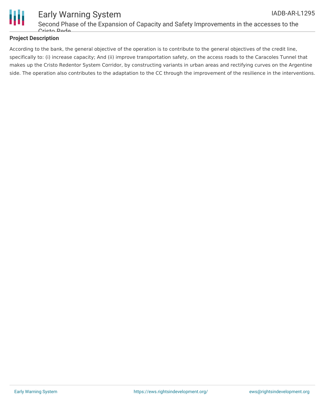

#### **Project Description**

According to the bank, the general objective of the operation is to contribute to the general objectives of the credit line, specifically to: (i) increase capacity; And (ii) improve transportation safety, on the access roads to the Caracoles Tunnel that makes up the Cristo Redentor System Corridor, by constructing variants in urban areas and rectifying curves on the Argentine side. The operation also contributes to the adaptation to the CC through the improvement of the resilience in the interventions.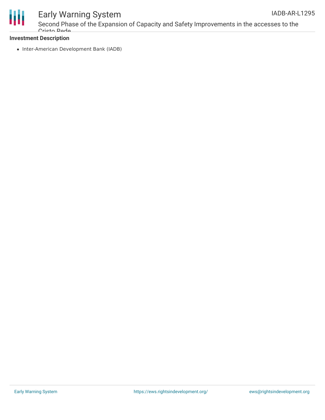



### Early Warning System

Second Phase of the Expansion of Capacity and Safety Improvements in the accesses to the Cristo Rede

#### **Investment Description**

• Inter-American Development Bank (IADB)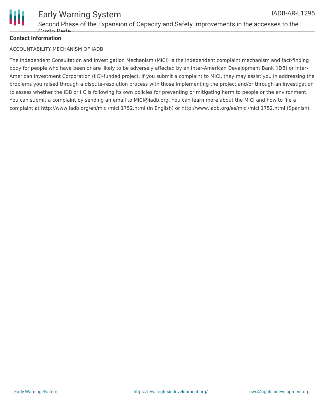

#### **Contact Information**

#### ACCOUNTABILITY MECHANISM OF IADB

The Independent Consultation and Investigation Mechanism (MICI) is the independent complaint mechanism and fact-finding body for people who have been or are likely to be adversely affected by an Inter-American Development Bank (IDB) or Inter-American Investment Corporation (IIC)-funded project. If you submit a complaint to MICI, they may assist you in addressing the problems you raised through a dispute-resolution process with those implementing the project and/or through an investigation to assess whether the IDB or IIC is following its own policies for preventing or mitigating harm to people or the environment. You can submit a complaint by sending an email to MICI@iadb.org. You can learn more about the MICI and how to file a complaint at http://www.iadb.org/en/mici/mici,1752.html (in English) or http://www.iadb.org/es/mici/mici,1752.html (Spanish).